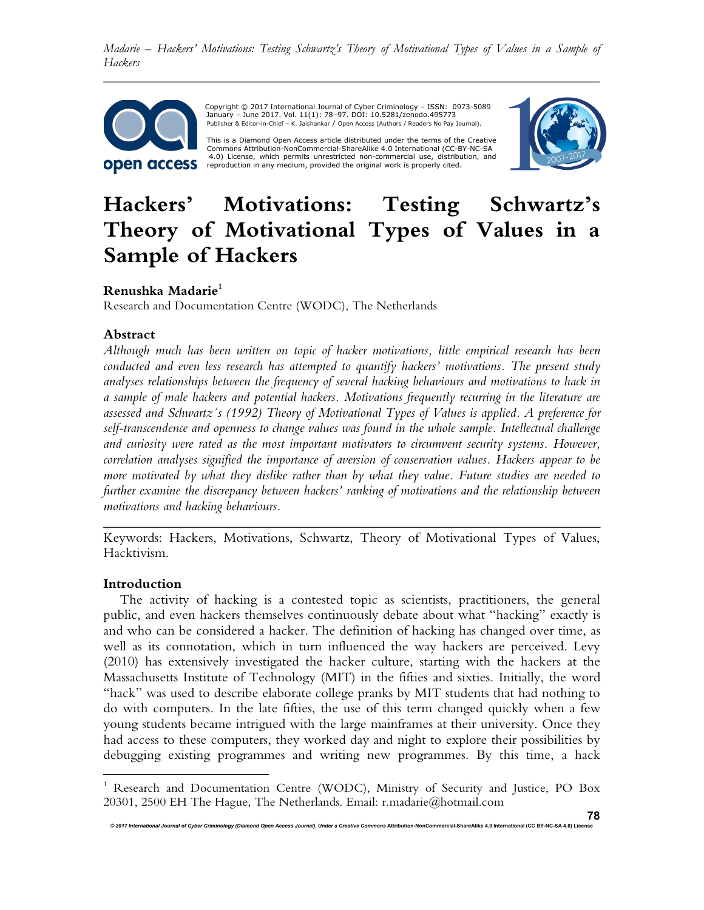

Copyright © 2017 International Journal of Cyber Criminology – ISSN: 0973-5089 January – June 2017. Vol. 11(1): 78–97. DOI: 10.5281/zenodo.495773 Publisher & Editor-in-Chief – K. Jaishankar / Open Access (Authors / Readers No Pay Journal).

This is a Diamond Open Access article distributed under the terms of the Creative Commons Attribution-NonCommercial-ShareAlike 4.0 International (CC-BY-NC-SA 4.0) License, which permits unrestricted non-commercial use, distribution, and reproduction in any medium, provided the original work is properly cited.



# **Hackers' Motivations: Testing Schwartz's Theory of Motivational Types of Values in a Sample of Hackers**

## **Renushka Madarie<sup>1</sup>**

Research and Documentation Centre (WODC), The Netherlands

### **Abstract**

*Although much has been written on topic of hacker motivations, little empirical research has been conducted and even less research has attempted to quantify hackers' motivations. The present study analyses relationships between the frequency of several hacking behaviours and motivations to hack in a sample of male hackers and potential hackers. Motivations frequently recurring in the literature are assessed and Schwartz´s (1992) Theory of Motivational Types of Values is applied. A preference for self-transcendence and openness to change values was found in the whole sample. Intellectual challenge and curiosity were rated as the most important motivators to circumvent security systems. However, correlation analyses signified the importance of aversion of conservation values. Hackers appear to be more motivated by what they dislike rather than by what they value. Future studies are needed to further examine the discrepancy between hackers' ranking of motivations and the relationship between motivations and hacking behaviours.*

Keywords: Hackers, Motivations, Schwartz, Theory of Motivational Types of Values, Hacktivism.

*\_\_\_\_\_\_\_\_\_\_\_\_\_\_\_\_\_\_\_\_\_\_\_\_\_\_\_\_\_\_\_\_\_\_\_\_\_\_\_\_\_\_\_\_\_\_\_\_\_\_\_\_\_\_\_\_\_\_\_\_\_\_\_\_\_\_\_\_\_\_\_\_* 

### **Introduction**

 $\overline{a}$ 

The activity of hacking is a contested topic as scientists, practitioners, the general public, and even hackers themselves continuously debate about what "hacking" exactly is and who can be considered a hacker. The definition of hacking has changed over time, as well as its connotation, which in turn influenced the way hackers are perceived. Levy (2010) has extensively investigated the hacker culture, starting with the hackers at the Massachusetts Institute of Technology (MIT) in the fifties and sixties. Initially, the word "hack" was used to describe elaborate college pranks by MIT students that had nothing to do with computers. In the late fifties, the use of this term changed quickly when a few young students became intrigued with the large mainframes at their university. Once they had access to these computers, they worked day and night to explore their possibilities by debugging existing programmes and writing new programmes. By this time, a hack

<sup>&</sup>lt;sup>1</sup> Research and Documentation Centre (WODC), Ministry of Security and Justice, PO Box 20301, 2500 EH The Hague, The Netherlands. Email: r.madarie@hotmail.com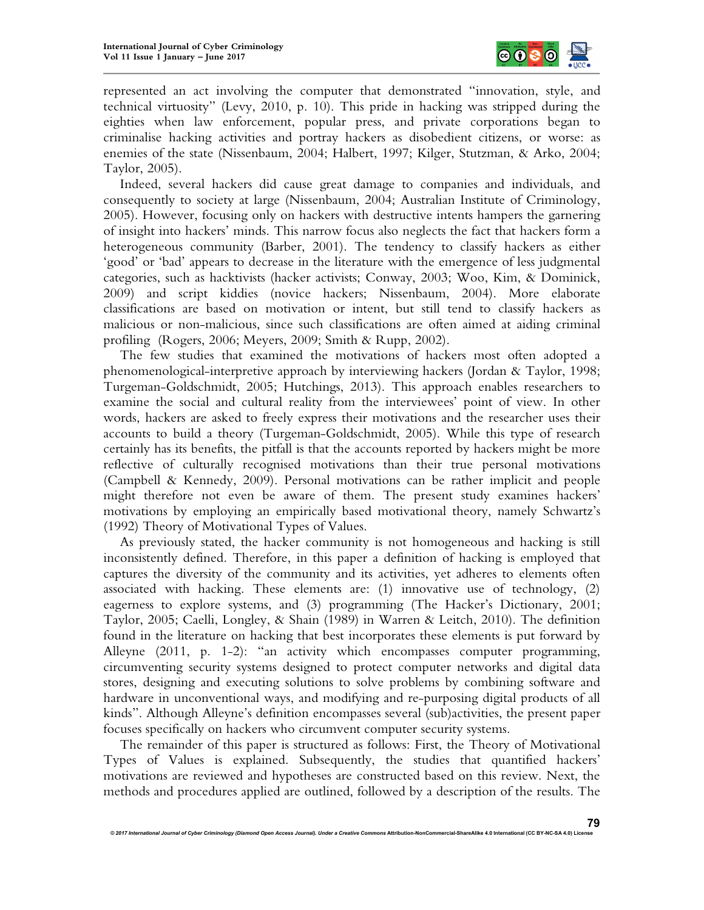

represented an act involving the computer that demonstrated "innovation, style, and technical virtuosity" (Levy, 2010, p. 10). This pride in hacking was stripped during the eighties when law enforcement, popular press, and private corporations began to criminalise hacking activities and portray hackers as disobedient citizens, or worse: as enemies of the state (Nissenbaum, 2004; Halbert, 1997; Kilger, Stutzman, & Arko, 2004; Taylor, 2005).

Indeed, several hackers did cause great damage to companies and individuals, and consequently to society at large (Nissenbaum, 2004; Australian Institute of Criminology, 2005). However, focusing only on hackers with destructive intents hampers the garnering of insight into hackers' minds. This narrow focus also neglects the fact that hackers form a heterogeneous community (Barber, 2001). The tendency to classify hackers as either 'good' or 'bad' appears to decrease in the literature with the emergence of less judgmental categories, such as hacktivists (hacker activists; Conway, 2003; Woo, Kim, & Dominick, 2009) and script kiddies (novice hackers; Nissenbaum, 2004). More elaborate classifications are based on motivation or intent, but still tend to classify hackers as malicious or non-malicious, since such classifications are often aimed at aiding criminal profiling (Rogers, 2006; Meyers, 2009; Smith & Rupp, 2002).

The few studies that examined the motivations of hackers most often adopted a phenomenological-interpretive approach by interviewing hackers (Jordan & Taylor, 1998; Turgeman-Goldschmidt, 2005; Hutchings, 2013). This approach enables researchers to examine the social and cultural reality from the interviewees' point of view. In other words, hackers are asked to freely express their motivations and the researcher uses their accounts to build a theory (Turgeman-Goldschmidt, 2005). While this type of research certainly has its benefits, the pitfall is that the accounts reported by hackers might be more reflective of culturally recognised motivations than their true personal motivations (Campbell & Kennedy, 2009). Personal motivations can be rather implicit and people might therefore not even be aware of them. The present study examines hackers' motivations by employing an empirically based motivational theory, namely Schwartz's (1992) Theory of Motivational Types of Values.

As previously stated, the hacker community is not homogeneous and hacking is still inconsistently defined. Therefore, in this paper a definition of hacking is employed that captures the diversity of the community and its activities, yet adheres to elements often associated with hacking. These elements are: (1) innovative use of technology, (2) eagerness to explore systems, and (3) programming (The Hacker's Dictionary, 2001; Taylor, 2005; Caelli, Longley, & Shain (1989) in Warren & Leitch, 2010). The definition found in the literature on hacking that best incorporates these elements is put forward by Alleyne (2011, p. 1-2): "an activity which encompasses computer programming, circumventing security systems designed to protect computer networks and digital data stores, designing and executing solutions to solve problems by combining software and hardware in unconventional ways, and modifying and re-purposing digital products of all kinds". Although Alleyne's definition encompasses several (sub)activities, the present paper focuses specifically on hackers who circumvent computer security systems.

The remainder of this paper is structured as follows: First, the Theory of Motivational Types of Values is explained. Subsequently, the studies that quantified hackers' motivations are reviewed and hypotheses are constructed based on this review. Next, the methods and procedures applied are outlined, followed by a description of the results. The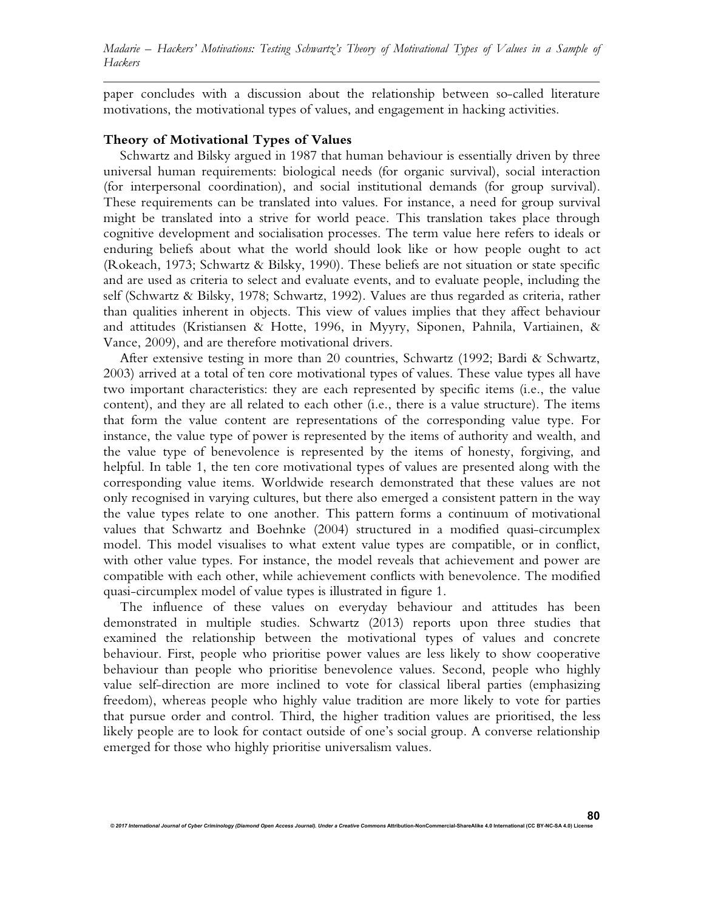paper concludes with a discussion about the relationship between so-called literature motivations, the motivational types of values, and engagement in hacking activities.

#### **Theory of Motivational Types of Values**

Schwartz and Bilsky argued in 1987 that human behaviour is essentially driven by three universal human requirements: biological needs (for organic survival), social interaction (for interpersonal coordination), and social institutional demands (for group survival). These requirements can be translated into values. For instance, a need for group survival might be translated into a strive for world peace. This translation takes place through cognitive development and socialisation processes. The term value here refers to ideals or enduring beliefs about what the world should look like or how people ought to act (Rokeach, 1973; Schwartz & Bilsky, 1990). These beliefs are not situation or state specific and are used as criteria to select and evaluate events, and to evaluate people, including the self (Schwartz & Bilsky, 1978; Schwartz, 1992). Values are thus regarded as criteria, rather than qualities inherent in objects. This view of values implies that they affect behaviour and attitudes (Kristiansen & Hotte, 1996, in Myyry, Siponen, Pahnila, Vartiainen, & Vance, 2009), and are therefore motivational drivers.

After extensive testing in more than 20 countries, Schwartz (1992; Bardi & Schwartz, 2003) arrived at a total of ten core motivational types of values. These value types all have two important characteristics: they are each represented by specific items (i.e., the value content), and they are all related to each other (i.e., there is a value structure). The items that form the value content are representations of the corresponding value type. For instance, the value type of power is represented by the items of authority and wealth, and the value type of benevolence is represented by the items of honesty, forgiving, and helpful. In table 1, the ten core motivational types of values are presented along with the corresponding value items. Worldwide research demonstrated that these values are not only recognised in varying cultures, but there also emerged a consistent pattern in the way the value types relate to one another. This pattern forms a continuum of motivational values that Schwartz and Boehnke (2004) structured in a modified quasi-circumplex model. This model visualises to what extent value types are compatible, or in conflict, with other value types. For instance, the model reveals that achievement and power are compatible with each other, while achievement conflicts with benevolence. The modified quasi-circumplex model of value types is illustrated in figure 1.

The influence of these values on everyday behaviour and attitudes has been demonstrated in multiple studies. Schwartz (2013) reports upon three studies that examined the relationship between the motivational types of values and concrete behaviour. First, people who prioritise power values are less likely to show cooperative behaviour than people who prioritise benevolence values. Second, people who highly value self-direction are more inclined to vote for classical liberal parties (emphasizing freedom), whereas people who highly value tradition are more likely to vote for parties that pursue order and control. Third, the higher tradition values are prioritised, the less likely people are to look for contact outside of one's social group. A converse relationship emerged for those who highly prioritise universalism values.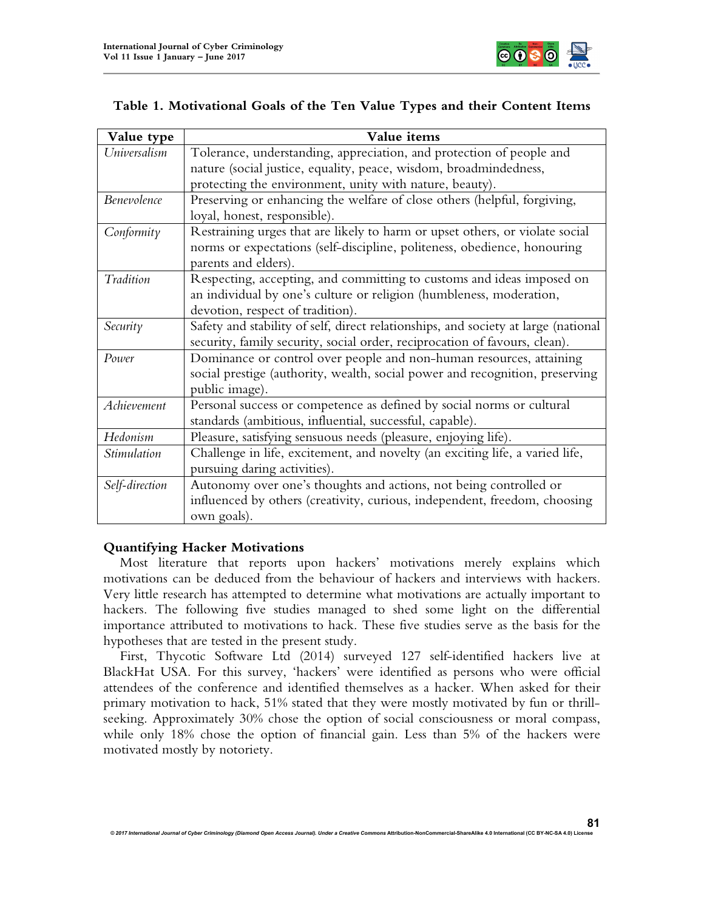

|  |  |  |  |  | Table 1. Motivational Goals of the Ten Value Types and their Content Items |
|--|--|--|--|--|----------------------------------------------------------------------------|
|--|--|--|--|--|----------------------------------------------------------------------------|

| Value type     | Value items                                                                        |
|----------------|------------------------------------------------------------------------------------|
| Universalism   | Tolerance, understanding, appreciation, and protection of people and               |
|                | nature (social justice, equality, peace, wisdom, broadmindedness,                  |
|                | protecting the environment, unity with nature, beauty).                            |
| Benevolence    | Preserving or enhancing the welfare of close others (helpful, forgiving,           |
|                | loyal, honest, responsible).                                                       |
| Conformity     | Restraining urges that are likely to harm or upset others, or violate social       |
|                | norms or expectations (self-discipline, politeness, obedience, honouring           |
|                | parents and elders).                                                               |
| Tradition      | Respecting, accepting, and committing to customs and ideas imposed on              |
|                | an individual by one's culture or religion (humbleness, moderation,                |
|                | devotion, respect of tradition).                                                   |
| Security       | Safety and stability of self, direct relationships, and society at large (national |
|                | security, family security, social order, reciprocation of favours, clean).         |
| Power          | Dominance or control over people and non-human resources, attaining                |
|                | social prestige (authority, wealth, social power and recognition, preserving       |
|                | public image).                                                                     |
| Achievement    | Personal success or competence as defined by social norms or cultural              |
|                | standards (ambitious, influential, successful, capable).                           |
| Hedonism       | Pleasure, satisfying sensuous needs (pleasure, enjoying life).                     |
| Stimulation    | Challenge in life, excitement, and novelty (an exciting life, a varied life,       |
|                | pursuing daring activities).                                                       |
| Self-direction | Autonomy over one's thoughts and actions, not being controlled or                  |
|                | influenced by others (creativity, curious, independent, freedom, choosing          |
|                | own goals).                                                                        |

# **Quantifying Hacker Motivations**

Most literature that reports upon hackers' motivations merely explains which motivations can be deduced from the behaviour of hackers and interviews with hackers. Very little research has attempted to determine what motivations are actually important to hackers. The following five studies managed to shed some light on the differential importance attributed to motivations to hack. These five studies serve as the basis for the hypotheses that are tested in the present study.

First, Thycotic Software Ltd (2014) surveyed 127 self-identified hackers live at BlackHat USA. For this survey, 'hackers' were identified as persons who were official attendees of the conference and identified themselves as a hacker. When asked for their primary motivation to hack, 51% stated that they were mostly motivated by fun or thrillseeking. Approximately 30% chose the option of social consciousness or moral compass, while only 18% chose the option of financial gain. Less than 5% of the hackers were motivated mostly by notoriety.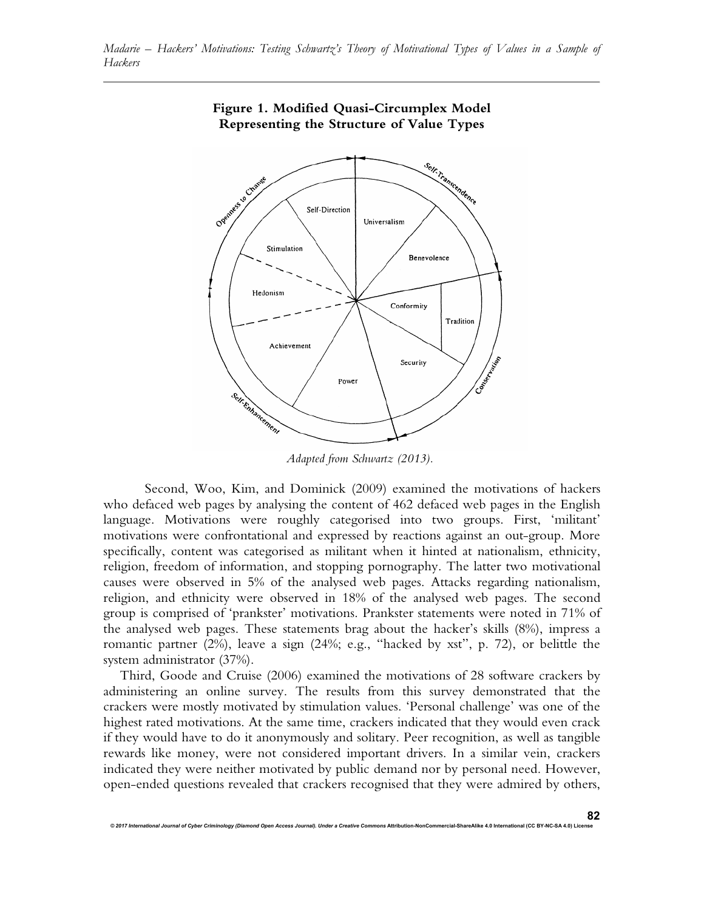

# **Figure 1. Modified Quasi-Circumplex Model Representing the Structure of Value Types**

*Adapted from Schwartz (2013).*

Second, Woo, Kim, and Dominick (2009) examined the motivations of hackers who defaced web pages by analysing the content of 462 defaced web pages in the English language. Motivations were roughly categorised into two groups. First, 'militant' motivations were confrontational and expressed by reactions against an out-group. More specifically, content was categorised as militant when it hinted at nationalism, ethnicity, religion, freedom of information, and stopping pornography. The latter two motivational causes were observed in 5% of the analysed web pages. Attacks regarding nationalism, religion, and ethnicity were observed in 18% of the analysed web pages. The second group is comprised of 'prankster' motivations. Prankster statements were noted in 71% of the analysed web pages. These statements brag about the hacker's skills (8%), impress a romantic partner (2%), leave a sign (24%; e.g., "hacked by xst", p. 72), or belittle the system administrator (37%).

Third, Goode and Cruise (2006) examined the motivations of 28 software crackers by administering an online survey. The results from this survey demonstrated that the crackers were mostly motivated by stimulation values. 'Personal challenge' was one of the highest rated motivations. At the same time, crackers indicated that they would even crack if they would have to do it anonymously and solitary. Peer recognition, as well as tangible rewards like money, were not considered important drivers. In a similar vein, crackers indicated they were neither motivated by public demand nor by personal need. However, open-ended questions revealed that crackers recognised that they were admired by others,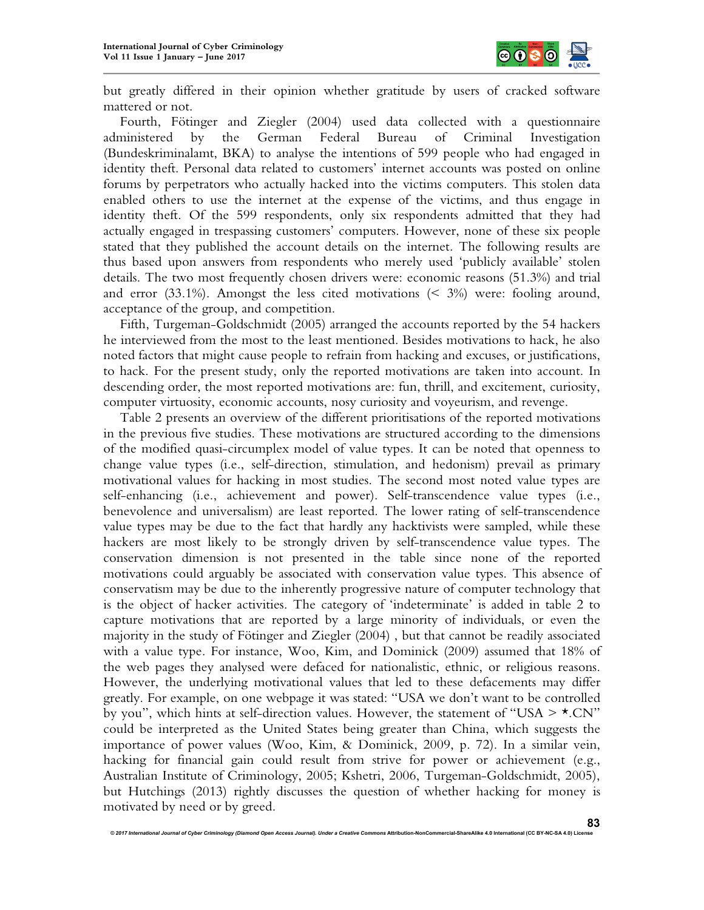

but greatly differed in their opinion whether gratitude by users of cracked software mattered or not.

Fourth, Fötinger and Ziegler (2004) used data collected with a questionnaire administered by the German Federal Bureau of Criminal Investigation (Bundeskriminalamt, BKA) to analyse the intentions of 599 people who had engaged in identity theft. Personal data related to customers' internet accounts was posted on online forums by perpetrators who actually hacked into the victims computers. This stolen data enabled others to use the internet at the expense of the victims, and thus engage in identity theft. Of the 599 respondents, only six respondents admitted that they had actually engaged in trespassing customers' computers. However, none of these six people stated that they published the account details on the internet. The following results are thus based upon answers from respondents who merely used 'publicly available' stolen details. The two most frequently chosen drivers were: economic reasons (51.3%) and trial and error  $(33.1\%)$ . Amongst the less cited motivations  $(5.3\%)$  were: fooling around, acceptance of the group, and competition.

Fifth, Turgeman-Goldschmidt (2005) arranged the accounts reported by the 54 hackers he interviewed from the most to the least mentioned. Besides motivations to hack, he also noted factors that might cause people to refrain from hacking and excuses, or justifications, to hack. For the present study, only the reported motivations are taken into account. In descending order, the most reported motivations are: fun, thrill, and excitement, curiosity, computer virtuosity, economic accounts, nosy curiosity and voyeurism, and revenge.

Table 2 presents an overview of the different prioritisations of the reported motivations in the previous five studies. These motivations are structured according to the dimensions of the modified quasi-circumplex model of value types. It can be noted that openness to change value types (i.e., self-direction, stimulation, and hedonism) prevail as primary motivational values for hacking in most studies. The second most noted value types are self-enhancing (i.e., achievement and power). Self-transcendence value types (i.e., benevolence and universalism) are least reported. The lower rating of self-transcendence value types may be due to the fact that hardly any hacktivists were sampled, while these hackers are most likely to be strongly driven by self-transcendence value types. The conservation dimension is not presented in the table since none of the reported motivations could arguably be associated with conservation value types. This absence of conservatism may be due to the inherently progressive nature of computer technology that is the object of hacker activities. The category of 'indeterminate' is added in table 2 to capture motivations that are reported by a large minority of individuals, or even the majority in the study of Fötinger and Ziegler (2004) , but that cannot be readily associated with a value type. For instance, Woo, Kim, and Dominick (2009) assumed that 18% of the web pages they analysed were defaced for nationalistic, ethnic, or religious reasons. However, the underlying motivational values that led to these defacements may differ greatly. For example, on one webpage it was stated: "USA we don't want to be controlled by you", which hints at self-direction values. However, the statement of "USA  $> \star$ .CN" could be interpreted as the United States being greater than China, which suggests the importance of power values (Woo, Kim, & Dominick, 2009, p. 72). In a similar vein, hacking for financial gain could result from strive for power or achievement (e.g., Australian Institute of Criminology, 2005; Kshetri, 2006, Turgeman-Goldschmidt, 2005), but Hutchings (2013) rightly discusses the question of whether hacking for money is motivated by need or by greed.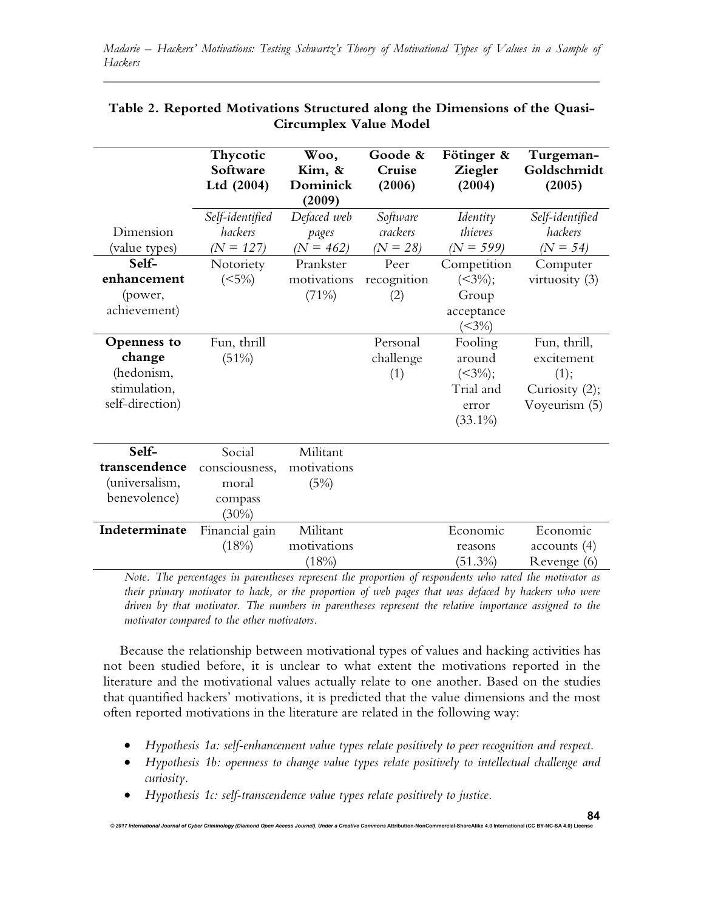|                                                                        | Thycotic<br>Software<br>Ltd (2004)                       | Woo,<br>Kim, &<br>Dominick<br>(2009) | Goode &<br>Cruise<br>(2006)        | Fötinger &<br>Ziegler<br>(2004)                                         | Turgeman-<br>Goldschmidt<br>(2005)                                    |
|------------------------------------------------------------------------|----------------------------------------------------------|--------------------------------------|------------------------------------|-------------------------------------------------------------------------|-----------------------------------------------------------------------|
| Dimension<br>(value types)                                             | Self-identified<br>hackers<br>$(N = 127)$                | Defaced web<br>pages<br>$(N = 462)$  | Software<br>crackers<br>$(N = 28)$ | Identity<br>thieves<br>$(N = 599)$                                      | Self-identified<br>hackers<br>$(N = 54)$                              |
| Self-<br>enhancement<br>(power,<br>achievement)                        | Notoriety<br>(<5%)                                       | Prankster<br>motivations<br>(71%)    | Peer<br>recognition<br>(2)         | Competition<br>$(<\!\!3\%)$ ;<br>Group<br>acceptance<br>$( < 3\%)$      | Computer<br>virtuosity (3)                                            |
| Openness to<br>change<br>(hedonism,<br>stimulation,<br>self-direction) | Fun, thrill<br>(51%)                                     |                                      | Personal<br>challenge<br>(1)       | Fooling<br>around<br>$(<\!\!3\%)$ ;<br>Trial and<br>error<br>$(33.1\%)$ | Fun, thrill,<br>excitement<br>(1);<br>Curiosity (2);<br>Voyeurism (5) |
| Self-<br>transcendence<br>(universalism,<br>benevolence)               | Social<br>consciousness,<br>moral<br>compass<br>$(30\%)$ | Militant<br>motivations<br>(5%)      |                                    |                                                                         |                                                                       |
| Indeterminate                                                          | Financial gain<br>(18%)                                  | Militant<br>motivations<br>(18%)     |                                    | Economic<br>reasons<br>$(51.3\%)$                                       | Economic<br>accounts(4)<br>Revenge (6)                                |

# **Table 2. Reported Motivations Structured along the Dimensions of the Quasi-Circumplex Value Model**

*Note. The percentages in parentheses represent the proportion of respondents who rated the motivator as their primary motivator to hack, or the proportion of web pages that was defaced by hackers who were driven by that motivator. The numbers in parentheses represent the relative importance assigned to the motivator compared to the other motivators.*

Because the relationship between motivational types of values and hacking activities has not been studied before, it is unclear to what extent the motivations reported in the literature and the motivational values actually relate to one another. Based on the studies that quantified hackers' motivations, it is predicted that the value dimensions and the most often reported motivations in the literature are related in the following way:

- *Hypothesis 1a: self-enhancement value types relate positively to peer recognition and respect.*
- *Hypothesis 1b: openness to change value types relate positively to intellectual challenge and curiosity.*
- *Hypothesis 1c: self-transcendence value types relate positively to justice.*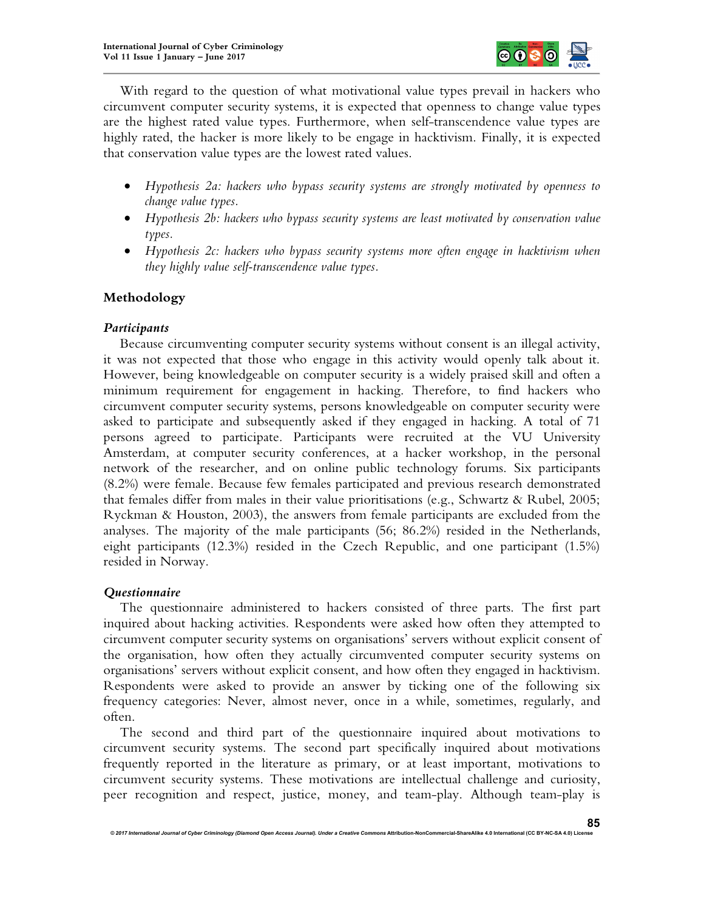

With regard to the question of what motivational value types prevail in hackers who circumvent computer security systems, it is expected that openness to change value types are the highest rated value types. Furthermore, when self-transcendence value types are highly rated, the hacker is more likely to be engage in hacktivism. Finally, it is expected that conservation value types are the lowest rated values.

- *Hypothesis 2a: hackers who bypass security systems are strongly motivated by openness to change value types.*
- *Hypothesis 2b: hackers who bypass security systems are least motivated by conservation value types.*
- *Hypothesis 2c: hackers who bypass security systems more often engage in hacktivism when they highly value self-transcendence value types.*

# **Methodology**

### *Participants*

Because circumventing computer security systems without consent is an illegal activity, it was not expected that those who engage in this activity would openly talk about it. However, being knowledgeable on computer security is a widely praised skill and often a minimum requirement for engagement in hacking. Therefore, to find hackers who circumvent computer security systems, persons knowledgeable on computer security were asked to participate and subsequently asked if they engaged in hacking. A total of 71 persons agreed to participate. Participants were recruited at the VU University Amsterdam, at computer security conferences, at a hacker workshop, in the personal network of the researcher, and on online public technology forums. Six participants (8.2%) were female. Because few females participated and previous research demonstrated that females differ from males in their value prioritisations (e.g., Schwartz & Rubel, 2005; Ryckman & Houston, 2003), the answers from female participants are excluded from the analyses. The majority of the male participants (56; 86.2%) resided in the Netherlands, eight participants (12.3%) resided in the Czech Republic, and one participant (1.5%) resided in Norway.

#### *Questionnaire*

The questionnaire administered to hackers consisted of three parts. The first part inquired about hacking activities. Respondents were asked how often they attempted to circumvent computer security systems on organisations' servers without explicit consent of the organisation, how often they actually circumvented computer security systems on organisations' servers without explicit consent, and how often they engaged in hacktivism. Respondents were asked to provide an answer by ticking one of the following six frequency categories: Never, almost never, once in a while, sometimes, regularly, and often.

The second and third part of the questionnaire inquired about motivations to circumvent security systems. The second part specifically inquired about motivations frequently reported in the literature as primary, or at least important, motivations to circumvent security systems. These motivations are intellectual challenge and curiosity, peer recognition and respect, justice, money, and team-play. Although team-play is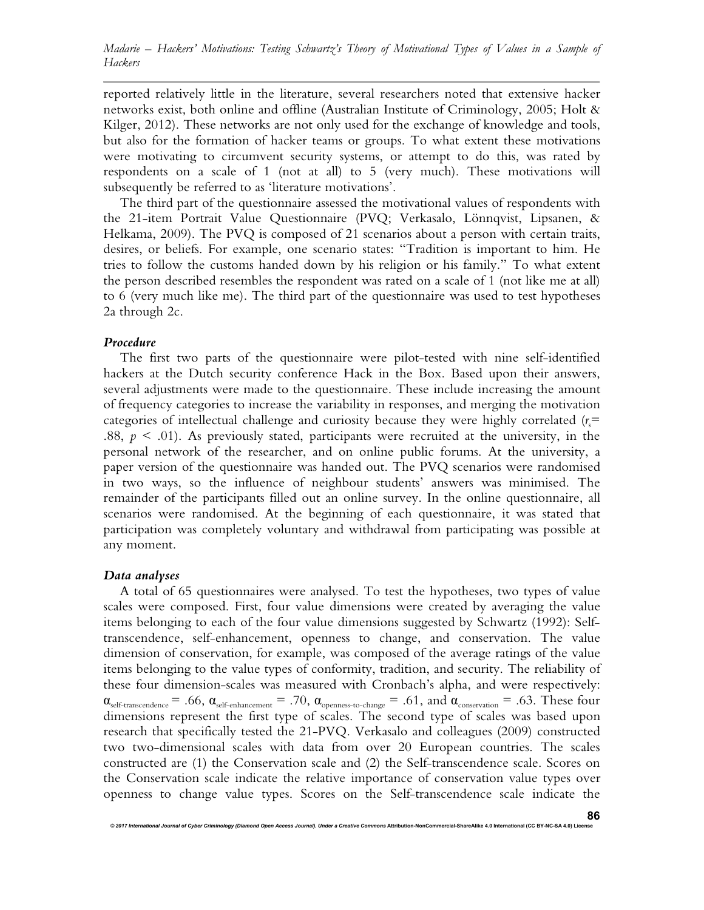reported relatively little in the literature, several researchers noted that extensive hacker networks exist, both online and offline (Australian Institute of Criminology, 2005; Holt & Kilger, 2012). These networks are not only used for the exchange of knowledge and tools, but also for the formation of hacker teams or groups. To what extent these motivations were motivating to circumvent security systems, or attempt to do this, was rated by respondents on a scale of 1 (not at all) to 5 (very much). These motivations will subsequently be referred to as 'literature motivations'.

The third part of the questionnaire assessed the motivational values of respondents with the 21-item Portrait Value Questionnaire (PVQ; Verkasalo, Lönnqvist, Lipsanen, & Helkama, 2009). The PVQ is composed of 21 scenarios about a person with certain traits, desires, or beliefs. For example, one scenario states: "Tradition is important to him. He tries to follow the customs handed down by his religion or his family." To what extent the person described resembles the respondent was rated on a scale of 1 (not like me at all) to 6 (very much like me). The third part of the questionnaire was used to test hypotheses 2a through 2c.

### *Procedure*

The first two parts of the questionnaire were pilot-tested with nine self-identified hackers at the Dutch security conference Hack in the Box. Based upon their answers, several adjustments were made to the questionnaire. These include increasing the amount of frequency categories to increase the variability in responses, and merging the motivation categories of intellectual challenge and curiosity because they were highly correlated  $(r_s =$ .88,  $p \leq 0.01$ ). As previously stated, participants were recruited at the university, in the personal network of the researcher, and on online public forums. At the university, a paper version of the questionnaire was handed out. The PVQ scenarios were randomised in two ways, so the influence of neighbour students' answers was minimised. The remainder of the participants filled out an online survey. In the online questionnaire, all scenarios were randomised. At the beginning of each questionnaire, it was stated that participation was completely voluntary and withdrawal from participating was possible at any moment.

### *Data analyses*

A total of 65 questionnaires were analysed. To test the hypotheses, two types of value scales were composed. First, four value dimensions were created by averaging the value items belonging to each of the four value dimensions suggested by Schwartz (1992): Selftranscendence, self-enhancement, openness to change, and conservation. The value dimension of conservation, for example, was composed of the average ratings of the value items belonging to the value types of conformity, tradition, and security. The reliability of these four dimension-scales was measured with Cronbach's alpha, and were respectively:  $\alpha_{\text{self-transcendence}} = .66$ ,  $\alpha_{\text{self-enhancement}} = .70$ ,  $\alpha_{\text{openness-to-change}} = .61$ , and  $\alpha_{\text{conservation}} = .63$ . These four dimensions represent the first type of scales. The second type of scales was based upon research that specifically tested the 21-PVQ. Verkasalo and colleagues (2009) constructed two two-dimensional scales with data from over 20 European countries. The scales constructed are (1) the Conservation scale and (2) the Self-transcendence scale. Scores on the Conservation scale indicate the relative importance of conservation value types over openness to change value types. Scores on the Self-transcendence scale indicate the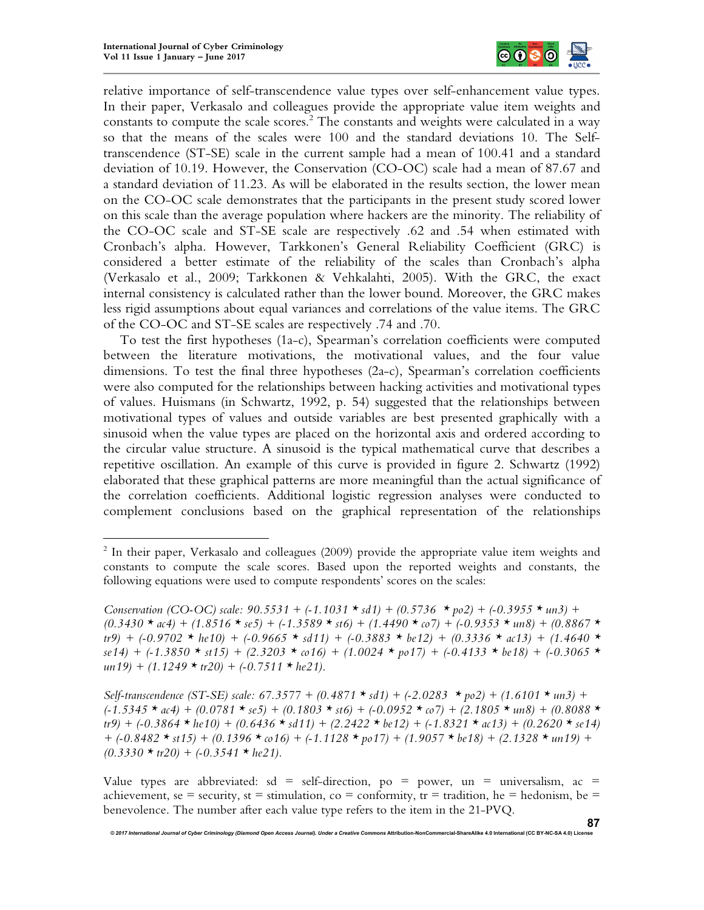1



relative importance of self-transcendence value types over self-enhancement value types. In their paper, Verkasalo and colleagues provide the appropriate value item weights and constants to compute the scale scores. 2 The constants and weights were calculated in a way so that the means of the scales were 100 and the standard deviations 10. The Selftranscendence (ST-SE) scale in the current sample had a mean of 100.41 and a standard deviation of 10.19. However, the Conservation (CO-OC) scale had a mean of 87.67 and a standard deviation of 11.23. As will be elaborated in the results section, the lower mean on the CO-OC scale demonstrates that the participants in the present study scored lower on this scale than the average population where hackers are the minority. The reliability of the CO-OC scale and ST-SE scale are respectively .62 and .54 when estimated with Cronbach's alpha. However, Tarkkonen's General Reliability Coefficient (GRC) is considered a better estimate of the reliability of the scales than Cronbach's alpha (Verkasalo et al., 2009; Tarkkonen & Vehkalahti, 2005). With the GRC, the exact internal consistency is calculated rather than the lower bound. Moreover, the GRC makes less rigid assumptions about equal variances and correlations of the value items. The GRC of the CO-OC and ST-SE scales are respectively .74 and .70.

To test the first hypotheses (1a-c), Spearman's correlation coefficients were computed between the literature motivations, the motivational values, and the four value dimensions. To test the final three hypotheses (2a-c), Spearman's correlation coefficients were also computed for the relationships between hacking activities and motivational types of values. Huismans (in Schwartz, 1992, p. 54) suggested that the relationships between motivational types of values and outside variables are best presented graphically with a sinusoid when the value types are placed on the horizontal axis and ordered according to the circular value structure. A sinusoid is the typical mathematical curve that describes a repetitive oscillation. An example of this curve is provided in figure 2. Schwartz (1992) elaborated that these graphical patterns are more meaningful than the actual significance of the correlation coefficients. Additional logistic regression analyses were conducted to complement conclusions based on the graphical representation of the relationships

Value types are abbreviated: sd = self-direction, po = power, un = universalism, ac = achievement, se = security, st = stimulation, co = conformity, tr = tradition, he = hedonism, be = benevolence. The number after each value type refers to the item in the 21-PVQ.

<sup>&</sup>lt;sup>2</sup> In their paper, Verkasalo and colleagues (2009) provide the appropriate value item weights and constants to compute the scale scores. Based upon the reported weights and constants, the following equations were used to compute respondents' scores on the scales:

*Conservation (CO-OC) scale: 90.5531 + (-1.1031 \* sd1) + (0.5736 \* po2) + (-0.3955 \* un3) +*  $(0.3430 \star \alpha 4) + (1.8516 \star \alpha 5) + (-1.3589 \star \alpha 6) + (1.4490 \star \alpha 7) + (-0.9353 \star \alpha 8) + (0.8867 \star \alpha 7)$ *tr9) + (-0.9702 \* he10) + (-0.9665 \* sd11) + (-0.3883 \* be12) + (0.3336 \* ac13) + (1.4640 \* se14) + (-1.3850 \* st15) + (2.3203 \* co16) + (1.0024 \* po17) + (-0.4133 \* be18) + (-0.3065 \* un19) + (1.1249 \* tr20) + (-0.7511 \* he21).*

*Self-transcendence (ST-SE) scale: 67.3577 + (0.4871 \* sd1) + (-2.0283 \* po2) + (1.6101 \* un3) + (-1.5345 \* ac4) + (0.0781 \* se5) + (0.1803 \* st6) + (-0.0952 \* co7) + (2.1805 \* un8) + (0.8088 \* tr9) + (-0.3864 \* he10) + (0.6436 \* sd11) + (2.2422 \* be12) + (-1.8321 \* ac13) + (0.2620 \* se14) + (-0.8482 \* st15) + (0.1396 \* co16) + (-1.1128 \* po17) + (1.9057 \* be18) + (2.1328 \* un19) +*  $(0.3330 * tr20) + (-0.3541 * hc21).$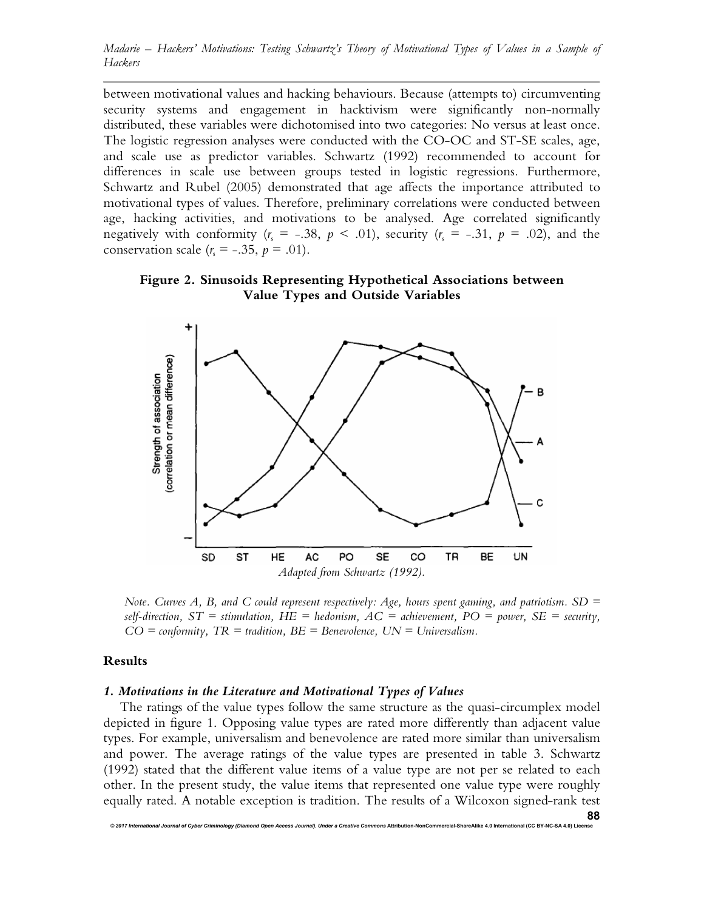between motivational values and hacking behaviours. Because (attempts to) circumventing security systems and engagement in hacktivism were significantly non-normally distributed, these variables were dichotomised into two categories: No versus at least once. The logistic regression analyses were conducted with the CO-OC and ST-SE scales, age, and scale use as predictor variables. Schwartz (1992) recommended to account for differences in scale use between groups tested in logistic regressions. Furthermore, Schwartz and Rubel (2005) demonstrated that age affects the importance attributed to motivational types of values. Therefore, preliminary correlations were conducted between age, hacking activities, and motivations to be analysed. Age correlated significantly negatively with conformity  $(r_s = -.38, p \le .01)$ , security  $(r_s = -.31, p = .02)$ , and the conservation scale  $(r_s = -.35, p = .01)$ .





*Note. Curves A, B, and C could represent respectively: Age, hours spent gaming, and patriotism. SD =*   $self\text{-}direction, ST = stimulation, HE = hedonism, AC = achievement, PO = power, SE = security,$ *CO = conformity, TR = tradition, BE = Benevolence, UN = Universalism.*

#### **Results**

#### *1. Motivations in the Literature and Motivational Types of Values*

*© 2017 International Journal of Cyber Criminology (Diamond Open Access Journal). Under a Creative Commons* **Attribution-NonCommercial-ShareAlike 4.0 International (CC BY-NC-SA 4.0) License**

The ratings of the value types follow the same structure as the quasi-circumplex model depicted in figure 1. Opposing value types are rated more differently than adjacent value types. For example, universalism and benevolence are rated more similar than universalism and power. The average ratings of the value types are presented in table 3. Schwartz (1992) stated that the different value items of a value type are not per se related to each other. In the present study, the value items that represented one value type were roughly equally rated. A notable exception is tradition. The results of a Wilcoxon signed-rank test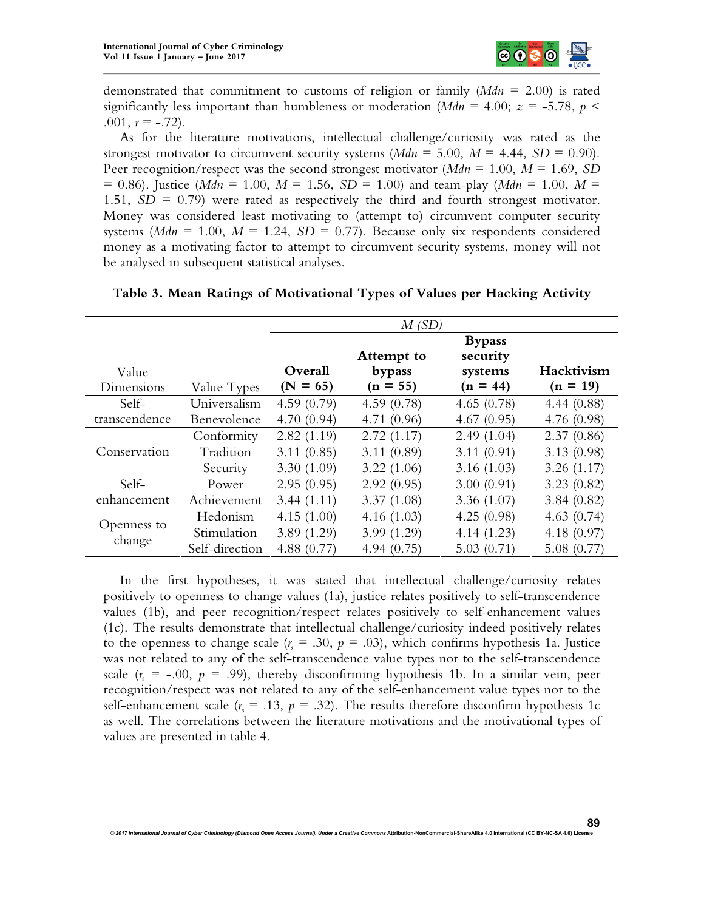

demonstrated that commitment to customs of religion or family (*Mdn* = 2.00) is rated significantly less important than humbleness or moderation ( $Mdn = 4.00$ ;  $z = -5.78$ ,  $p <$ .001,  $r = -.72$ ).

As for the literature motivations, intellectual challenge/curiosity was rated as the strongest motivator to circumvent security systems  $(Mdn = 5.00, M = 4.44, SD = 0.90)$ . Peer recognition/respect was the second strongest motivator (*Mdn* = 1.00, *M* = 1.69, *SD*  $= 0.86$ ). Justice (*Mdn* = 1.00,  $M = 1.56$ ,  $SD = 1.00$ ) and team-play (*Mdn* = 1.00,  $M =$ 1.51, *SD* = 0.79) were rated as respectively the third and fourth strongest motivator. Money was considered least motivating to (attempt to) circumvent computer security systems ( $Mdn = 1.00$ ,  $M = 1.24$ ,  $SD = 0.77$ ). Because only six respondents considered money as a motivating factor to attempt to circumvent security systems, money will not be analysed in subsequent statistical analyses.

|                     |                | M(SD)                 |                                    |                                                    |                          |  |  |
|---------------------|----------------|-----------------------|------------------------------------|----------------------------------------------------|--------------------------|--|--|
| Value<br>Dimensions | Value Types    | Overall<br>$(N = 65)$ | Attempt to<br>bypass<br>$(n = 55)$ | <b>Bypass</b><br>security<br>systems<br>$(n = 44)$ | Hacktivism<br>$(n = 19)$ |  |  |
| Self-               | Universalism   | 4.59(0.79)            | 4.59(0.78)                         | 4.65(0.78)                                         | 4.44(0.88)               |  |  |
| transcendence       | Benevolence    | 4.70(0.94)            | 4.71(0.96)                         | 4.67(0.95)                                         | 4.76(0.98)               |  |  |
|                     | Conformity     | 2.82(1.19)            | 2.72(1.17)                         | 2.49(1.04)                                         | 2.37(0.86)               |  |  |
| Conservation        | Tradition      | 3.11(0.85)            | 3.11(0.89)                         | 3.11(0.91)                                         | 3.13(0.98)               |  |  |
|                     | Security       | 3.30(1.09)            | 3.22(1.06)                         | 3.16(1.03)                                         | 3.26(1.17)               |  |  |
| Self-               | Power          | 2.95(0.95)            | 2.92(0.95)                         | 3.00(0.91)                                         | 3.23(0.82)               |  |  |
| enhancement         | Achievement    | 3.44(1.11)            | 3.37(1.08)                         | 3.36(1.07)                                         | 3.84(0.82)               |  |  |
|                     | Hedonism       | 4.15(1.00)            | 4.16(1.03)                         | 4.25(0.98)                                         | 4.63 $(0.74)$            |  |  |
| Openness to         | Stimulation    | 3.89(1.29)            | 3.99(1.29)                         | 4.14(1.23)                                         | 4.18(0.97)               |  |  |
| change              | Self-direction | 4.88(0.77)            | 4.94(0.75)                         | 5.03(0.71)                                         | 5.08(0.77)               |  |  |

**Table 3. Mean Ratings of Motivational Types of Values per Hacking Activity**

In the first hypotheses, it was stated that intellectual challenge/curiosity relates positively to openness to change values (1a), justice relates positively to self-transcendence values (1b), and peer recognition/respect relates positively to self-enhancement values (1c). The results demonstrate that intellectual challenge/curiosity indeed positively relates to the openness to change scale  $(r_s = .30, p = .03)$ , which confirms hypothesis 1a. Justice was not related to any of the self-transcendence value types nor to the self-transcendence scale  $(r_s = -.00, p = .99)$ , thereby disconfirming hypothesis 1b. In a similar vein, peer recognition/respect was not related to any of the self-enhancement value types nor to the self-enhancement scale  $(r_s = .13, p = .32)$ . The results therefore disconfirm hypothesis 1c as well. The correlations between the literature motivations and the motivational types of values are presented in table 4.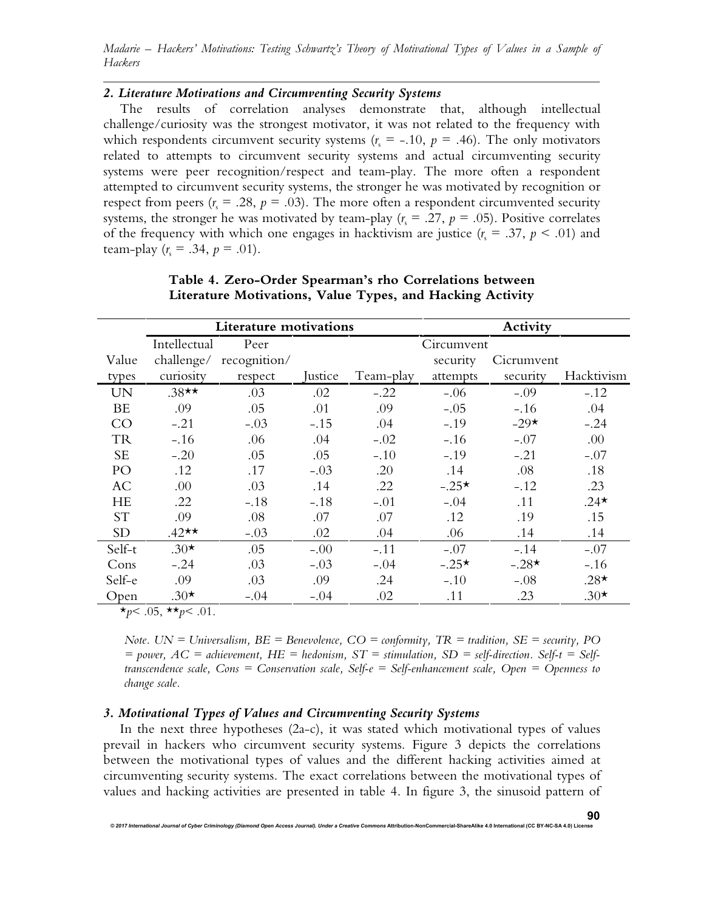## *2. Literature Motivations and Circumventing Security Systems*

The results of correlation analyses demonstrate that, although intellectual challenge/curiosity was the strongest motivator, it was not related to the frequency with which respondents circumvent security systems ( $r_s = -.10$ ,  $p = .46$ ). The only motivators related to attempts to circumvent security systems and actual circumventing security systems were peer recognition/respect and team-play. The more often a respondent attempted to circumvent security systems, the stronger he was motivated by recognition or respect from peers ( $r_s = .28$ ,  $p = .03$ ). The more often a respondent circumvented security systems, the stronger he was motivated by team-play ( $r_s = .27$ ,  $p = .05$ ). Positive correlates of the frequency with which one engages in hacktivism are justice  $(r_s = .37, p < .01)$  and team-play  $(r_s = .34, p = .01)$ .

|           | Literature motivations |              |         | Activity  |            |            |            |
|-----------|------------------------|--------------|---------|-----------|------------|------------|------------|
|           | Intellectual           | Peer         |         |           | Circumvent |            |            |
| Value     | challenge/             | recognition/ |         |           | security   | Cicrumvent |            |
| types     | curiosity              | respect      | Justice | Team-play | attempts   | security   | Hacktivism |
| <b>UN</b> | $.38**$                | .03          | .02     | $-.22$    | $-.06$     | $-.09$     | $-.12$     |
| <b>BE</b> | .09                    | .05          | .01     | .09       | $-.05$     | $-.16$     | .04        |
| CO        | $-.21$                 | $-.03$       | $-.15$  | .04       | $-.19$     | $-29*$     | $-.24$     |
| <b>TR</b> | $-.16$                 | .06          | .04     | $-.02$    | $-.16$     | $-.07$     | .00        |
| <b>SE</b> | $-.20$                 | .05          | .05     | $-.10$    | $-.19$     | $-.21$     | $-.07$     |
| PO        | .12                    | .17          | $-.03$  | .20       | .14        | .08        | .18        |
| <b>AC</b> | .00                    | .03          | .14     | .22       | $-.25*$    | $-.12$     | .23        |
| <b>HE</b> | .22                    | $-.18$       | $-.18$  | $-.01$    | $-.04$     | .11        | $.24*$     |
| <b>ST</b> | .09                    | .08          | .07     | .07       | .12        | .19        | .15        |
| <b>SD</b> | $.42**$                | $-.03$       | .02     | .04       | .06        | .14        | .14        |
| Self-t    | $.30*$                 | .05          | $-.00$  | $-.11$    | $-.07$     | $-.14$     | $-.07$     |
| Cons      | $-.24$                 | .03          | $-.03$  | $-.04$    | $-.25*$    | $-.28*$    | $-.16$     |
| Self-e    | .09                    | .03          | .09     | .24       | $-.10$     | $-.08$     | $.28*$     |
| Open      | $.30*$                 | $-.04$       | $-.04$  | .02       | .11        | .23        | $.30*$     |

| Table 4. Zero-Order Spearman's rho Correlations between   |  |  |
|-----------------------------------------------------------|--|--|
| Literature Motivations, Value Types, and Hacking Activity |  |  |

 $\star_{p}$  < .05,  $\star \star_{p}$  < .01.

*Note. UN = Universalism, BE = Benevolence, CO = conformity, TR = tradition, SE = security, PO = power, AC = achievement, HE = hedonism, ST = stimulation, SD = self-direction. Self-t = Selftranscendence scale, Cons = Conservation scale, Self-e = Self-enhancement scale, Open = Openness to change scale.*

## *3. Motivational Types of Values and Circumventing Security Systems*

*© 2017 International Journal of Cyber Criminology (Diamond Open Access Journal). Under a Creative Commons* **Attribution-NonCommercial-ShareAlike 4.0 International (CC BY-NC-SA 4.0) License**

In the next three hypotheses (2a-c), it was stated which motivational types of values prevail in hackers who circumvent security systems. Figure 3 depicts the correlations between the motivational types of values and the different hacking activities aimed at circumventing security systems. The exact correlations between the motivational types of values and hacking activities are presented in table 4. In figure 3, the sinusoid pattern of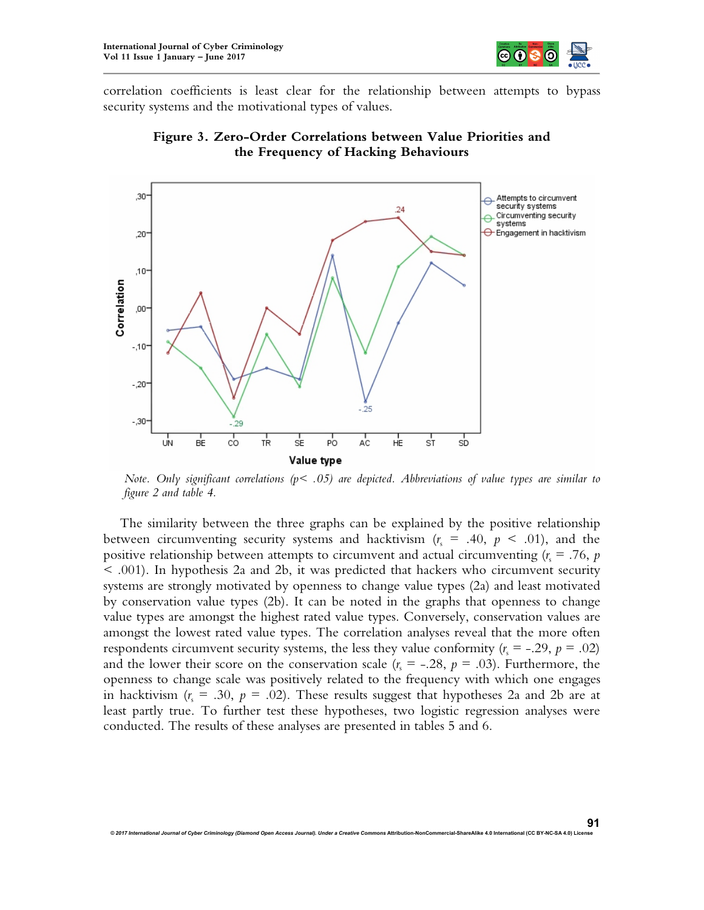

correlation coefficients is least clear for the relationship between attempts to bypass security systems and the motivational types of values.





*Note. Only significant correlations (p< .05) are depicted. Abbreviations of value types are similar to figure 2 and table 4.*

The similarity between the three graphs can be explained by the positive relationship between circumventing security systems and hacktivism  $(r_s = .40, p < .01)$ , and the positive relationship between attempts to circumvent and actual circumventing  $(r_s = .76, p_s)$ < .001). In hypothesis 2a and 2b, it was predicted that hackers who circumvent security systems are strongly motivated by openness to change value types (2a) and least motivated by conservation value types (2b). It can be noted in the graphs that openness to change value types are amongst the highest rated value types. Conversely, conservation values are amongst the lowest rated value types. The correlation analyses reveal that the more often respondents circumvent security systems, the less they value conformity  $(r_s = -.29, p = .02)$ and the lower their score on the conservation scale  $(r_s = -.28, p = .03)$ . Furthermore, the openness to change scale was positively related to the frequency with which one engages in hacktivism  $(r_s = .30, p = .02)$ . These results suggest that hypotheses 2a and 2b are at least partly true. To further test these hypotheses, two logistic regression analyses were conducted. The results of these analyses are presented in tables 5 and 6.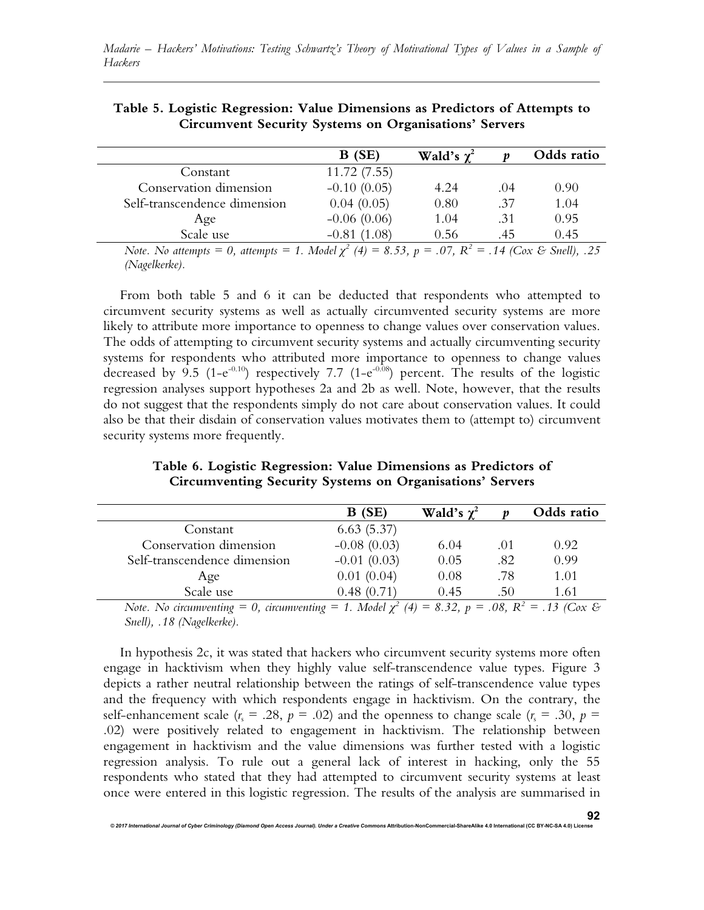|                                                                                                                  | B(SE)         | <b>Wald's</b> $\chi^2$ |      | Odds ratio |
|------------------------------------------------------------------------------------------------------------------|---------------|------------------------|------|------------|
| Constant                                                                                                         | 11.72(7.55)   |                        |      |            |
| Conservation dimension                                                                                           | $-0.10(0.05)$ | 4.24                   | (1)4 | 0.90       |
| Self-transcendence dimension                                                                                     | 0.04(0.05)    | 0.80                   | .37  | 1.04       |
| Age                                                                                                              | $-0.06(0.06)$ | 1.04                   | .31  | 0.95       |
| Scale use                                                                                                        | $-0.81(1.08)$ | 0.56                   | .45  | 0.45       |
| Note. No attempts = 0, attempts = 1. Model $\chi^2$ (4) = 8.53, p = .07, R <sup>2</sup> = .14 (Cox & Snell), .25 |               |                        |      |            |

| Table 5. Logistic Regression: Value Dimensions as Predictors of Attempts to |
|-----------------------------------------------------------------------------|
| <b>Circumvent Security Systems on Organisations' Servers</b>                |

*(Nagelkerke).*

From both table 5 and 6 it can be deducted that respondents who attempted to circumvent security systems as well as actually circumvented security systems are more likely to attribute more importance to openness to change values over conservation values. The odds of attempting to circumvent security systems and actually circumventing security systems for respondents who attributed more importance to openness to change values decreased by 9.5 (1-e<sup>-0.10</sup>) respectively 7.7 (1-e<sup>-0.08</sup>) percent. The results of the logistic regression analyses support hypotheses 2a and 2b as well. Note, however, that the results do not suggest that the respondents simply do not care about conservation values. It could also be that their disdain of conservation values motivates them to (attempt to) circumvent security systems more frequently.

|                              | B(SE)         | Wald's $\chi^2$ |     | Odds ratio |
|------------------------------|---------------|-----------------|-----|------------|
| Constant                     | 6.63(5.37)    |                 |     |            |
| Conservation dimension       | $-0.08(0.03)$ | 6.04            | .01 | 0.92       |
| Self-transcendence dimension | $-0.01(0.03)$ | 0.05            | .82 | 0.99       |
| Age                          | 0.01(0.04)    | 0.08            | -78 | 1.01       |

**Table 6. Logistic Regression: Value Dimensions as Predictors of Circumventing Security Systems on Organisations' Servers**

*Note. No circumventing* = 0, *circumventing* = 1. *Model*  $\chi^2$  (4) = 8.32, p = .08, R<sup>2</sup> = .13 (Cox & *Snell), .18 (Nagelkerke).* 

Scale use 0.48 (0.71) 0.45 .50 1.61

In hypothesis 2c, it was stated that hackers who circumvent security systems more often engage in hacktivism when they highly value self-transcendence value types. Figure 3 depicts a rather neutral relationship between the ratings of self-transcendence value types and the frequency with which respondents engage in hacktivism. On the contrary, the self-enhancement scale ( $r_s = .28$ ,  $p = .02$ ) and the openness to change scale ( $r_s = .30$ ,  $p =$ .02) were positively related to engagement in hacktivism. The relationship between engagement in hacktivism and the value dimensions was further tested with a logistic regression analysis. To rule out a general lack of interest in hacking, only the 55 respondents who stated that they had attempted to circumvent security systems at least once were entered in this logistic regression. The results of the analysis are summarised in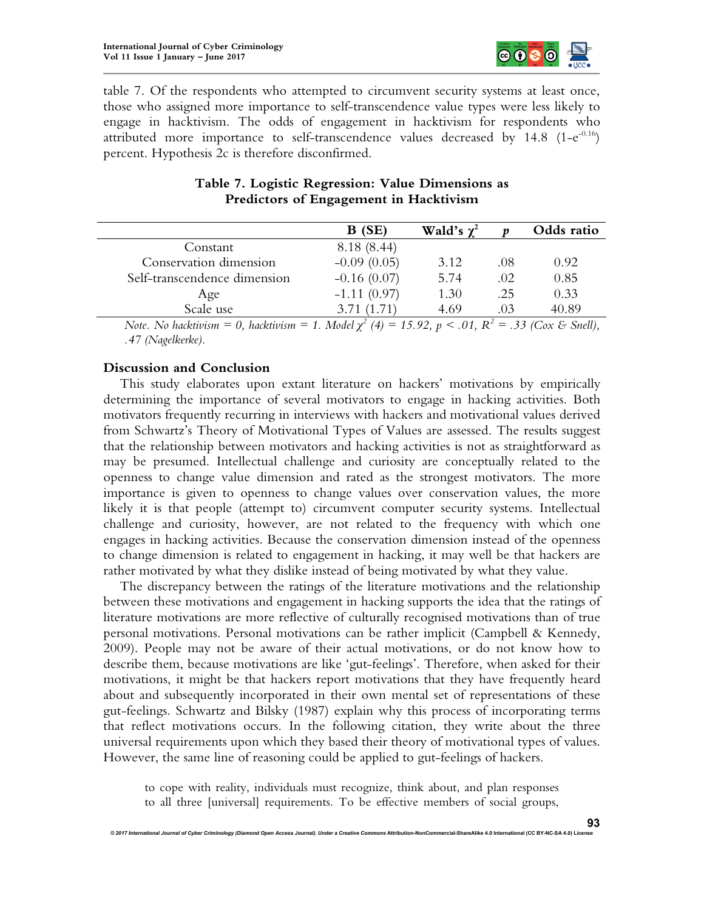

table 7. Of the respondents who attempted to circumvent security systems at least once, those who assigned more importance to self-transcendence value types were less likely to engage in hacktivism. The odds of engagement in hacktivism for respondents who attributed more importance to self-transcendence values decreased by  $14.8$  (1-e<sup>-0.16</sup>) percent. Hypothesis 2c is therefore disconfirmed.

|                              | B(SE)         | Wald's $\chi^2$ |     | Odds ratio |
|------------------------------|---------------|-----------------|-----|------------|
| Constant                     | 8.18 (8.44)   |                 |     |            |
| Conservation dimension       | $-0.09(0.05)$ | 3.12            | .08 | 0.92       |
| Self-transcendence dimension | $-0.16(0.07)$ | 5.74            | .02 | 0.85       |
| Age                          | $-1.11(0.97)$ | 1.30            | .25 | 0.33       |
| Scale use                    | 3.71(1.71)    | 4.69            | .03 | 40.89      |
|                              |               |                 |     |            |

# **Table 7. Logistic Regression: Value Dimensions as Predictors of Engagement in Hacktivism**

*Note. No hacktivism* = 0, *hacktivism* = 1. *Model*  $\chi^2$  (4) = 15.92, p < .01,  $R^2$  = .33 (*Cox & Snell*), *.47 (Nagelkerke).*

## **Discussion and Conclusion**

This study elaborates upon extant literature on hackers' motivations by empirically determining the importance of several motivators to engage in hacking activities. Both motivators frequently recurring in interviews with hackers and motivational values derived from Schwartz's Theory of Motivational Types of Values are assessed. The results suggest that the relationship between motivators and hacking activities is not as straightforward as may be presumed. Intellectual challenge and curiosity are conceptually related to the openness to change value dimension and rated as the strongest motivators. The more importance is given to openness to change values over conservation values, the more likely it is that people (attempt to) circumvent computer security systems. Intellectual challenge and curiosity, however, are not related to the frequency with which one engages in hacking activities. Because the conservation dimension instead of the openness to change dimension is related to engagement in hacking, it may well be that hackers are rather motivated by what they dislike instead of being motivated by what they value.

The discrepancy between the ratings of the literature motivations and the relationship between these motivations and engagement in hacking supports the idea that the ratings of literature motivations are more reflective of culturally recognised motivations than of true personal motivations. Personal motivations can be rather implicit (Campbell & Kennedy, 2009). People may not be aware of their actual motivations, or do not know how to describe them, because motivations are like 'gut-feelings'. Therefore, when asked for their motivations, it might be that hackers report motivations that they have frequently heard about and subsequently incorporated in their own mental set of representations of these gut-feelings. Schwartz and Bilsky (1987) explain why this process of incorporating terms that reflect motivations occurs. In the following citation, they write about the three universal requirements upon which they based their theory of motivational types of values. However, the same line of reasoning could be applied to gut-feelings of hackers.

to cope with reality, individuals must recognize, think about, and plan responses to all three [universal] requirements. To be effective members of social groups,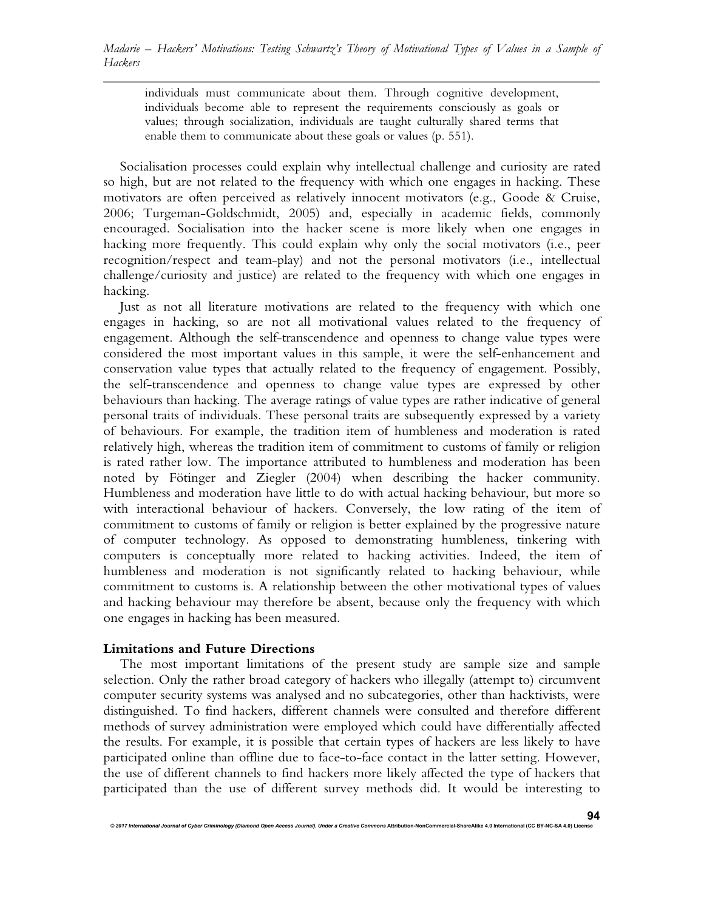individuals must communicate about them. Through cognitive development, individuals become able to represent the requirements consciously as goals or values; through socialization, individuals are taught culturally shared terms that enable them to communicate about these goals or values (p. 551).

Socialisation processes could explain why intellectual challenge and curiosity are rated so high, but are not related to the frequency with which one engages in hacking. These motivators are often perceived as relatively innocent motivators (e.g., Goode & Cruise, 2006; Turgeman-Goldschmidt, 2005) and, especially in academic fields, commonly encouraged. Socialisation into the hacker scene is more likely when one engages in hacking more frequently. This could explain why only the social motivators (i.e., peer recognition/respect and team-play) and not the personal motivators (i.e., intellectual challenge/curiosity and justice) are related to the frequency with which one engages in hacking.

Just as not all literature motivations are related to the frequency with which one engages in hacking, so are not all motivational values related to the frequency of engagement. Although the self-transcendence and openness to change value types were considered the most important values in this sample, it were the self-enhancement and conservation value types that actually related to the frequency of engagement. Possibly, the self-transcendence and openness to change value types are expressed by other behaviours than hacking. The average ratings of value types are rather indicative of general personal traits of individuals. These personal traits are subsequently expressed by a variety of behaviours. For example, the tradition item of humbleness and moderation is rated relatively high, whereas the tradition item of commitment to customs of family or religion is rated rather low. The importance attributed to humbleness and moderation has been noted by Fötinger and Ziegler (2004) when describing the hacker community. Humbleness and moderation have little to do with actual hacking behaviour, but more so with interactional behaviour of hackers. Conversely, the low rating of the item of commitment to customs of family or religion is better explained by the progressive nature of computer technology. As opposed to demonstrating humbleness, tinkering with computers is conceptually more related to hacking activities. Indeed, the item of humbleness and moderation is not significantly related to hacking behaviour, while commitment to customs is. A relationship between the other motivational types of values and hacking behaviour may therefore be absent, because only the frequency with which one engages in hacking has been measured.

### **Limitations and Future Directions**

The most important limitations of the present study are sample size and sample selection. Only the rather broad category of hackers who illegally (attempt to) circumvent computer security systems was analysed and no subcategories, other than hacktivists, were distinguished. To find hackers, different channels were consulted and therefore different methods of survey administration were employed which could have differentially affected the results. For example, it is possible that certain types of hackers are less likely to have participated online than offline due to face-to-face contact in the latter setting. However, the use of different channels to find hackers more likely affected the type of hackers that participated than the use of different survey methods did. It would be interesting to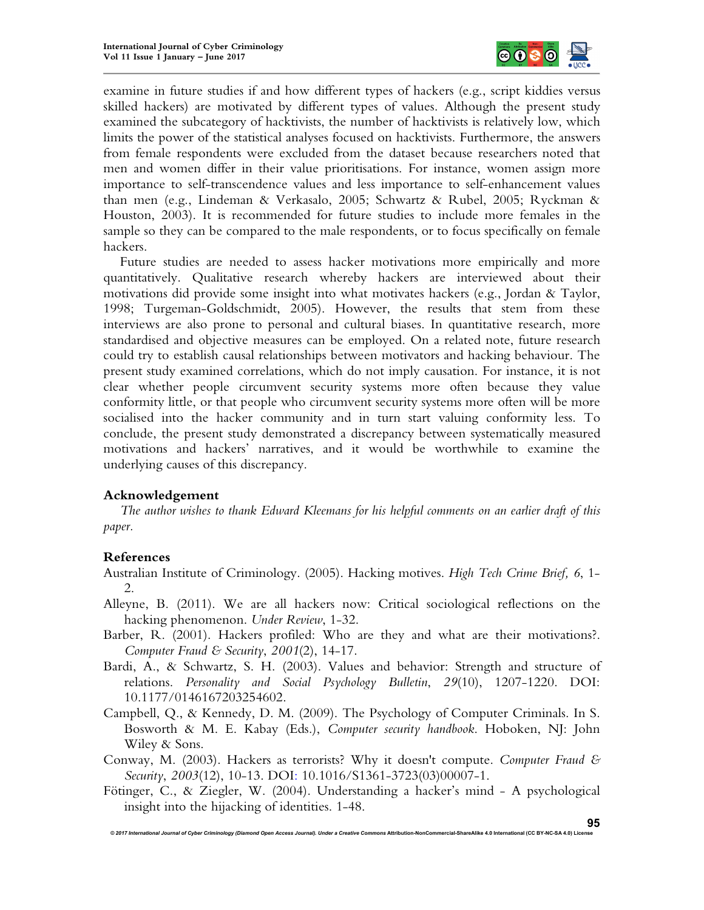

examine in future studies if and how different types of hackers (e.g., script kiddies versus skilled hackers) are motivated by different types of values. Although the present study examined the subcategory of hacktivists, the number of hacktivists is relatively low, which limits the power of the statistical analyses focused on hacktivists. Furthermore, the answers from female respondents were excluded from the dataset because researchers noted that men and women differ in their value prioritisations. For instance, women assign more importance to self-transcendence values and less importance to self-enhancement values than men (e.g., Lindeman & Verkasalo, 2005; Schwartz & Rubel, 2005; Ryckman & Houston, 2003). It is recommended for future studies to include more females in the sample so they can be compared to the male respondents, or to focus specifically on female hackers.

Future studies are needed to assess hacker motivations more empirically and more quantitatively. Qualitative research whereby hackers are interviewed about their motivations did provide some insight into what motivates hackers (e.g., Jordan & Taylor, 1998; Turgeman-Goldschmidt, 2005). However, the results that stem from these interviews are also prone to personal and cultural biases. In quantitative research, more standardised and objective measures can be employed. On a related note, future research could try to establish causal relationships between motivators and hacking behaviour. The present study examined correlations, which do not imply causation. For instance, it is not clear whether people circumvent security systems more often because they value conformity little, or that people who circumvent security systems more often will be more socialised into the hacker community and in turn start valuing conformity less. To conclude, the present study demonstrated a discrepancy between systematically measured motivations and hackers' narratives, and it would be worthwhile to examine the underlying causes of this discrepancy.

# **Acknowledgement**

*The author wishes to thank Edward Kleemans for his helpful comments on an earlier draft of this paper.*

# **References**

- Australian Institute of Criminology. (2005). Hacking motives. *High Tech Crime Brief, 6*, 1- 2.
- Alleyne, B. (2011). We are all hackers now: Critical sociological reflections on the hacking phenomenon. *Under Review*, 1-32.
- Barber, R. (2001). Hackers profiled: Who are they and what are their motivations?. *Computer Fraud & Security*, *2001*(2), 14-17.
- Bardi, A., & Schwartz, S. H. (2003). Values and behavior: Strength and structure of relations. *Personality and Social Psychology Bulletin*, *29*(10), 1207-1220. DOI: 10.1177/0146167203254602.
- Campbell, Q., & Kennedy, D. M. (2009). The Psychology of Computer Criminals. In S. Bosworth & M. E. Kabay (Eds.), *Computer security handbook*. Hoboken, NJ: John Wiley & Sons.
- Conway, M. (2003). Hackers as terrorists? Why it doesn't compute. *Computer Fraud & Security*, *2003*(12), 10-13. DOI: 10.1016/S1361-3723(03)00007-1.
- Fötinger, C., & Ziegler, W. (2004). Understanding a hacker's mind A psychological insight into the hijacking of identities. 1-48.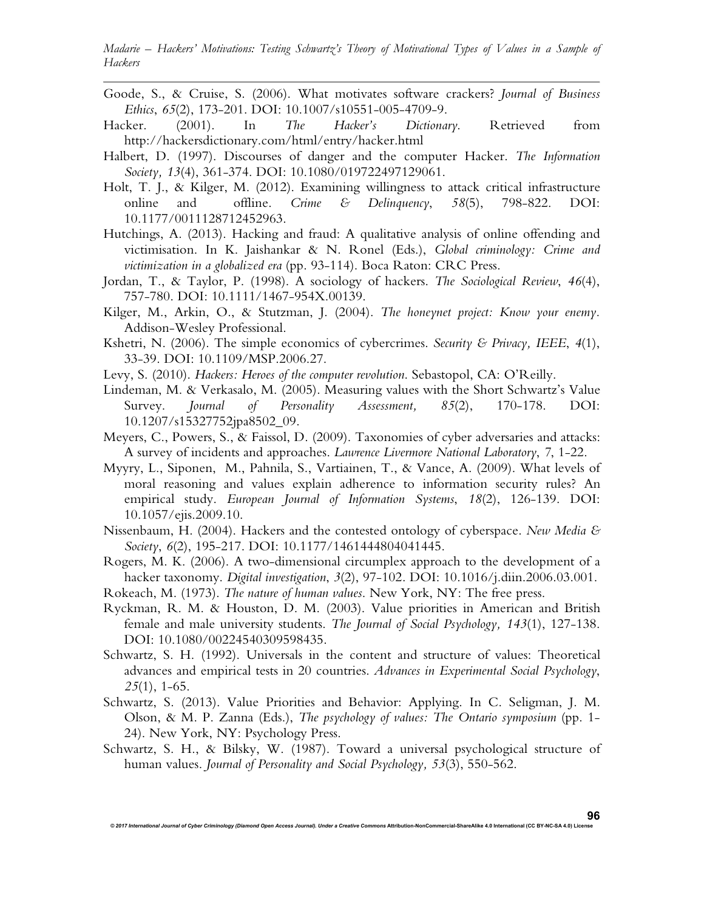- Goode, S., & Cruise, S. (2006). What motivates software crackers? *Journal of Business Ethics*, *65*(2), 173-201. DOI: 10.1007/s10551-005-4709-9.
- Hacker. (2001). In *The Hacker's Dictionary*. Retrieved from http://hackersdictionary.com/html/entry/hacker.html
- Halbert, D. (1997). Discourses of danger and the computer Hacker. *The Information Society, 13*(4), 361-374. DOI: 10.1080/019722497129061.
- Holt, T. J., & Kilger, M. (2012). Examining willingness to attack critical infrastructure online and offline. *Crime & Delinquency*, *58*(5), 798-822. DOI: 10.1177/0011128712452963.
- Hutchings, A. (2013). Hacking and fraud: A qualitative analysis of online offending and victimisation. In K. Jaishankar & N. Ronel (Eds.), *Global criminology: Crime and victimization in a globalized era* (pp. 93-114). Boca Raton: CRC Press.
- Jordan, T., & Taylor, P. (1998). A sociology of hackers. *The Sociological Review*, *46*(4), 757-780. DOI: 10.1111/1467-954X.00139.
- Kilger, M., Arkin, O., & Stutzman, J. (2004). *The honeynet project: Know your enemy.*  Addison-Wesley Professional.
- Kshetri, N. (2006). The simple economics of cybercrimes. *Security & Privacy, IEEE*, *4*(1), 33-39. DOI: 10.1109/MSP.2006.27.
- Levy, S. (2010). *Hackers: Heroes of the computer revolution*. Sebastopol, CA: O'Reilly.
- Lindeman, M. & Verkasalo, M. (2005). Measuring values with the Short Schwartz's Value Survey. *Journal of Personality Assessment, 85*(2), 170-178. DOI: 10.1207/s15327752jpa8502\_09.
- Meyers, C., Powers, S., & Faissol, D. (2009). Taxonomies of cyber adversaries and attacks: A survey of incidents and approaches. *Lawrence Livermore National Laboratory*, *7*, 1-22.
- Myyry, L., Siponen, M., Pahnila, S., Vartiainen, T., & Vance, A. (2009). What levels of moral reasoning and values explain adherence to information security rules? An empirical study. *European Journal of Information Systems*, *18*(2), 126-139. DOI: 10.1057/ejis.2009.10.
- Nissenbaum, H. (2004). Hackers and the contested ontology of cyberspace. *New Media & Society*, *6*(2), 195-217. DOI: 10.1177/1461444804041445.
- Rogers, M. K. (2006). A two-dimensional circumplex approach to the development of a hacker taxonomy. *Digital investigation*, *3*(2), 97-102. DOI: 10.1016/j.diin.2006.03.001.
- Rokeach, M. (1973). *The nature of human values*. New York, NY: The free press.
- Ryckman, R. M. & Houston, D. M. (2003). Value priorities in American and British female and male university students. *The Journal of Social Psychology, 143*(1), 127-138. DOI: 10.1080/00224540309598435.
- Schwartz, S. H. (1992). Universals in the content and structure of values: Theoretical advances and empirical tests in 20 countries. *Advances in Experimental Social Psychology*, *25*(1), 1-65.
- Schwartz, S. (2013). Value Priorities and Behavior: Applying. In C. Seligman, J. M. Olson, & M. P. Zanna (Eds.), *The psychology of values: The Ontario symposium* (pp. 1- 24). New York, NY: Psychology Press.
- Schwartz, S. H., & Bilsky, W. (1987). Toward a universal psychological structure of human values. *Journal of Personality and Social Psychology, 53*(3), 550-562.